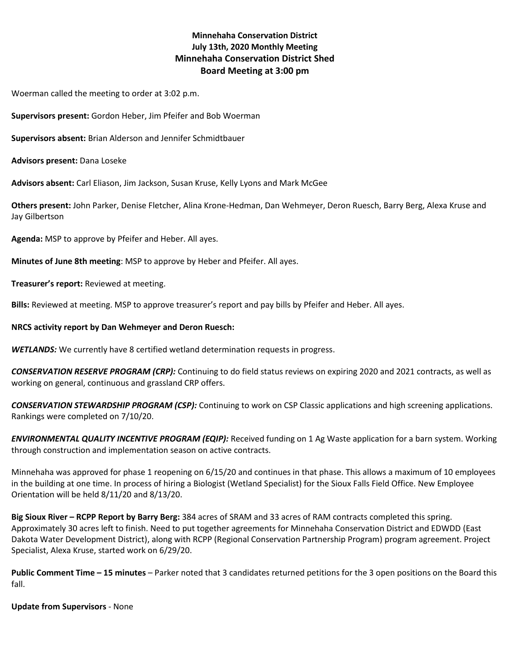# **Minnehaha Conservation District July 13th, 2020 Monthly Meeting Minnehaha Conservation District Shed Board Meeting at 3:00 pm**

Woerman called the meeting to order at 3:02 p.m.

**Supervisors present:** Gordon Heber, Jim Pfeifer and Bob Woerman

**Supervisors absent:** Brian Alderson and Jennifer Schmidtbauer

**Advisors present:** Dana Loseke

**Advisors absent:** Carl Eliason, Jim Jackson, Susan Kruse, Kelly Lyons and Mark McGee

**Others present:** John Parker, Denise Fletcher, Alina Krone-Hedman, Dan Wehmeyer, Deron Ruesch, Barry Berg, Alexa Kruse and Jay Gilbertson

**Agenda:** MSP to approve by Pfeifer and Heber. All ayes.

**Minutes of June 8th meeting**: MSP to approve by Heber and Pfeifer. All ayes.

**Treasurer's report:** Reviewed at meeting.

**Bills:** Reviewed at meeting. MSP to approve treasurer's report and pay bills by Pfeifer and Heber. All ayes.

## **NRCS activity report by Dan Wehmeyer and Deron Ruesch:**

*WETLANDS:* We currently have 8 certified wetland determination requests in progress.

*CONSERVATION RESERVE PROGRAM (CRP):* Continuing to do field status reviews on expiring 2020 and 2021 contracts, as well as working on general, continuous and grassland CRP offers.

*CONSERVATION STEWARDSHIP PROGRAM (CSP):* Continuing to work on CSP Classic applications and high screening applications. Rankings were completed on 7/10/20.

*ENVIRONMENTAL QUALITY INCENTIVE PROGRAM (EQIP):* Received funding on 1 Ag Waste application for a barn system. Working through construction and implementation season on active contracts.

Minnehaha was approved for phase 1 reopening on 6/15/20 and continues in that phase. This allows a maximum of 10 employees in the building at one time. In process of hiring a Biologist (Wetland Specialist) for the Sioux Falls Field Office. New Employee Orientation will be held 8/11/20 and 8/13/20.

**Big Sioux River – RCPP Report by Barry Berg:** 384 acres of SRAM and 33 acres of RAM contracts completed this spring. Approximately 30 acres left to finish. Need to put together agreements for Minnehaha Conservation District and EDWDD (East Dakota Water Development District), along with RCPP (Regional Conservation Partnership Program) program agreement. Project Specialist, Alexa Kruse, started work on 6/29/20.

**Public Comment Time – 15 minutes** – Parker noted that 3 candidates returned petitions for the 3 open positions on the Board this fall.

**Update from Supervisors** - None